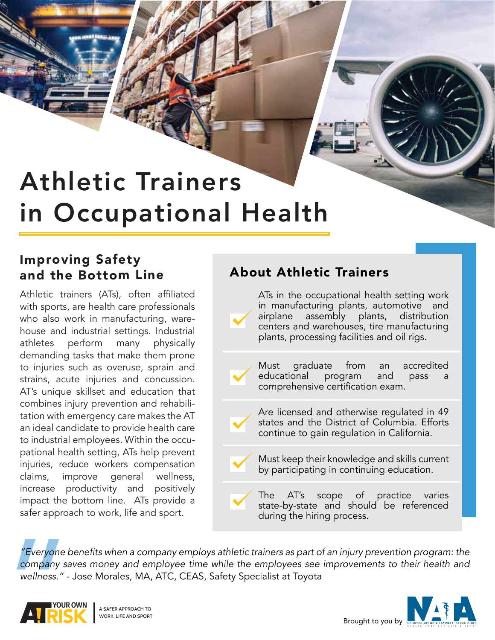# Athletic Trainers in Occupational Health

### Improving Safety<br>and the Bottom Line **About Athletic Trainers** and the Bottom Line

Athletic trainers (ATs), often affiliated with sports, are health care professionals who also work in manufacturing, warehouse and industrial settings. Industrial athletes perform many physically demanding tasks that make them prone to injuries such as overuse, sprain and strains, acute injuries and concussion. AT's unique skillset and education that combines injury prevention and rehabilitation with emergency care makes the AT an ideal candidate to provide health care to industrial employees. Within the occupational health setting, ATs help prevent injuries, reduce workers compensation claims, improve general wellness, increase productivity and positively impact the bottom line. ATs provide a safer approach to work, life and sport.



"Everyone b<br>
company sa<br>
wellness." -*"Everyone benefits when a company employs athletic trainers as part of an injury prevention program: the company saves money and employee time while the employees see improvements to their health and wellness."* - Jose Morales, MA, ATC, CEAS, Safety Specialist at Toyota